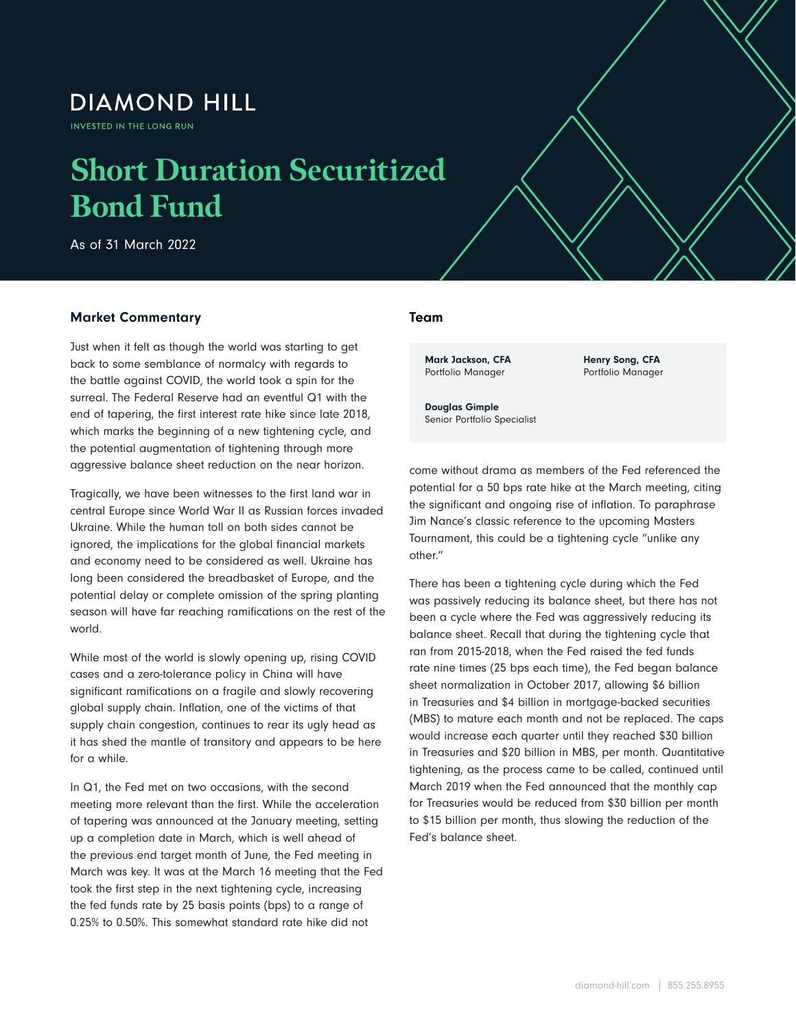# **DIAMOND HILL**

INVESTED IN THE LONG RUN

# **Short Duration Securitized Bond Fund**

As of 31 March 2022

### Market Commentary

Just when it felt as though the world was starting to get back to some semblance of normalcy with regards to the battle against COVID, the world took a spin for the surreal. The Federal Reserve had an eventful Q1 with the end of tapering, the first interest rate hike since late 2018, which marks the beginning of a new tightening cycle, and the potential augmentation of tightening through more aggressive balance sheet reduction on the near horizon.

Tragically, we have been witnesses to the first land war in central Europe since World War II as Russian forces invaded Ukraine. While the human toll on both sides cannot be ignored, the implications for the global financial markets and economy need to be considered as well. Ukraine has long been considered the breadbasket of Europe, and the potential delay or complete omission of the spring planting season will have far reaching ramifications on the rest of the world.

While most of the world is slowly opening up, rising COVID cases and a zero-tolerance policy in China will have significant ramifications on a fragile and slowly recovering global supply chain. Inflation, one of the victims of that supply chain congestion, continues to rear its ugly head as it has shed the mantle of transitory and appears to be here for a while.

In Q1, the Fed met on two occasions, with the second meeting more relevant than the first. While the acceleration of tapering was announced at the January meeting, setting up a completion date in March, which is well ahead of the previous end target month of June, the Fed meeting in March was key. It was at the March 16 meeting that the Fed took the first step in the next tightening cycle, increasing the fed funds rate by 25 basis points (bps) to a range of 0.25% to 0.50%. This somewhat standard rate hike did not

#### Team

 $S_{\rm eff}$  Duration Securitized Bond  $\beta$  as of 31 March 2022  $\beta$ 

Mark Jackson, CFA Portfolio Manager

Henry Song, CFA Portfolio Manager

Douglas Gimple Senior Portfolio Specialist

come without drama as members of the Fed referenced the potential for a 50 bps rate hike at the March meeting, citing the significant and ongoing rise of inflation. To paraphrase Jim Nance's classic reference to the upcoming Masters Tournament, this could be a tightening cycle "unlike any other."

There has been a tightening cycle during which the Fed was passively reducing its balance sheet, but there has not been a cycle where the Fed was aggressively reducing its balance sheet. Recall that during the tightening cycle that ran from 2015-2018, when the Fed raised the fed funds rate nine times (25 bps each time), the Fed began balance sheet normalization in October 2017, allowing \$6 billion in Treasuries and \$4 billion in mortgage-backed securities (MBS) to mature each month and not be replaced. The caps would increase each quarter until they reached \$30 billion in Treasuries and \$20 billion in MBS, per month. Quantitative tightening, as the process came to be called, continued until March 2019 when the Fed announced that the monthly cap for Treasuries would be reduced from \$30 billion per month to \$15 billion per month, thus slowing the reduction of the Fed's balance sheet.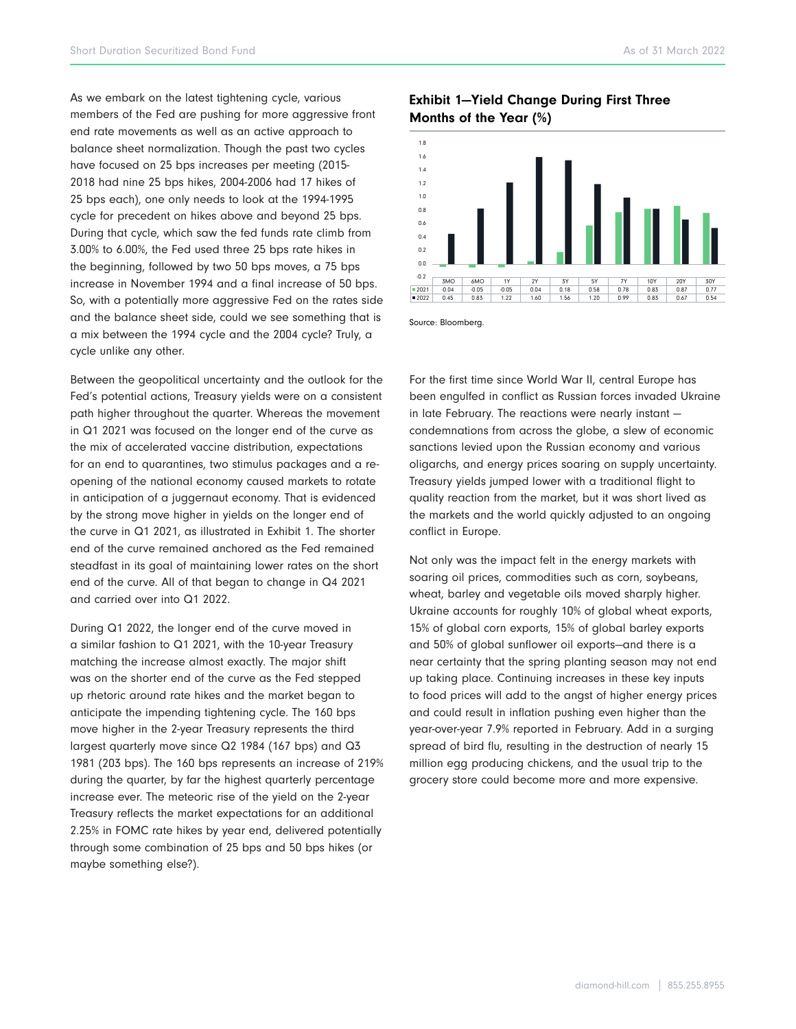As we embark on the latest tightening cycle, various members of the Fed are pushing for more aggressive front end rate movements as well as an active approach to balance sheet normalization. Though the past two cycles have focused on 25 bps increases per meeting (2015- 2018 had nine 25 bps hikes, 2004-2006 had 17 hikes of 25 bps each), one only needs to look at the 1994-1995 cycle for precedent on hikes above and beyond 25 bps. During that cycle, which saw the fed funds rate climb from 3.00% to 6.00%, the Fed used three 25 bps rate hikes in the beginning, followed by two 50 bps moves, a 75 bps increase in November 1994 and a final increase of 50 bps. So, with a potentially more aggressive Fed on the rates side and the balance sheet side, could we see something that is a mix between the 1994 cycle and the 2004 cycle? Truly, a cycle unlike any other.

Between the geopolitical uncertainty and the outlook for the Fed's potential actions, Treasury yields were on a consistent path higher throughout the quarter. Whereas the movement in Q1 2021 was focused on the longer end of the curve as the mix of accelerated vaccine distribution, expectations for an end to quarantines, two stimulus packages and a reopening of the national economy caused markets to rotate in anticipation of a juggernaut economy. That is evidenced by the strong move higher in yields on the longer end of the curve in Q1 2021, as illustrated in Exhibit 1. The shorter end of the curve remained anchored as the Fed remained steadfast in its goal of maintaining lower rates on the short end of the curve. All of that began to change in Q4 2021 and carried over into Q1 2022.

During Q1 2022, the longer end of the curve moved in a similar fashion to Q1 2021, with the 10-year Treasury matching the increase almost exactly. The major shift was on the shorter end of the curve as the Fed stepped up rhetoric around rate hikes and the market began to anticipate the impending tightening cycle. The 160 bps move higher in the 2-year Treasury represents the third largest quarterly move since Q2 1984 (167 bps) and Q3 1981 (203 bps). The 160 bps represents an increase of 219% during the quarter, by far the highest quarterly percentage increase ever. The meteoric rise of the yield on the 2-year Treasury reflects the market expectations for an additional 2.25% in FOMC rate hikes by year end, delivered potentially through some combination of 25 bps and 50 bps hikes (or maybe something else?).

## Exhibit 1—Yield Change During First Three Months of the Year (%)



Source: Bloomberg.

For the first time since World War II, central Europe has been engulfed in conflict as Russian forces invaded Ukraine in late February. The reactions were nearly instant condemnations from across the globe, a slew of economic sanctions levied upon the Russian economy and various oligarchs, and energy prices soaring on supply uncertainty. Treasury yields jumped lower with a traditional flight to quality reaction from the market, but it was short lived as the markets and the world quickly adjusted to an ongoing conflict in Europe.

Not only was the impact felt in the energy markets with soaring oil prices, commodities such as corn, soybeans, wheat, barley and vegetable oils moved sharply higher. Ukraine accounts for roughly 10% of global wheat exports, 15% of global corn exports, 15% of global barley exports and 50% of global sunflower oil exports—and there is a near certainty that the spring planting season may not end up taking place. Continuing increases in these key inputs to food prices will add to the angst of higher energy prices and could result in inflation pushing even higher than the year-over-year 7.9% reported in February. Add in a surging spread of bird flu, resulting in the destruction of nearly 15 million egg producing chickens, and the usual trip to the grocery store could become more and more expensive.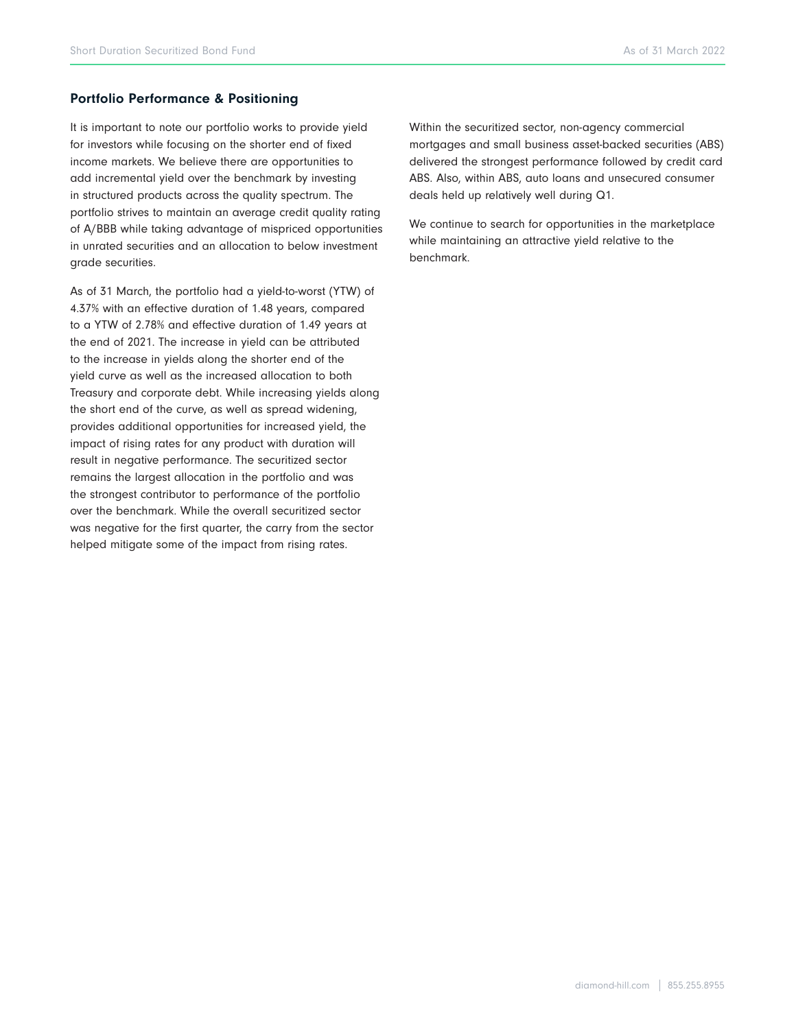#### Portfolio Performance & Positioning

It is important to note our portfolio works to provide yield for investors while focusing on the shorter end of fixed income markets. We believe there are opportunities to add incremental yield over the benchmark by investing in structured products across the quality spectrum. The portfolio strives to maintain an average credit quality rating of A/BBB while taking advantage of mispriced opportunities in unrated securities and an allocation to below investment grade securities.

As of 31 March, the portfolio had a yield-to-worst (YTW) of 4.37% with an effective duration of 1.48 years, compared to a YTW of 2.78% and effective duration of 1.49 years at the end of 2021. The increase in yield can be attributed to the increase in yields along the shorter end of the yield curve as well as the increased allocation to both Treasury and corporate debt. While increasing yields along the short end of the curve, as well as spread widening, provides additional opportunities for increased yield, the impact of rising rates for any product with duration will result in negative performance. The securitized sector remains the largest allocation in the portfolio and was the strongest contributor to performance of the portfolio over the benchmark. While the overall securitized sector was negative for the first quarter, the carry from the sector helped mitigate some of the impact from rising rates.

Within the securitized sector, non-agency commercial mortgages and small business asset-backed securities (ABS) delivered the strongest performance followed by credit card ABS. Also, within ABS, auto loans and unsecured consumer deals held up relatively well during Q1.

We continue to search for opportunities in the marketplace while maintaining an attractive yield relative to the benchmark.